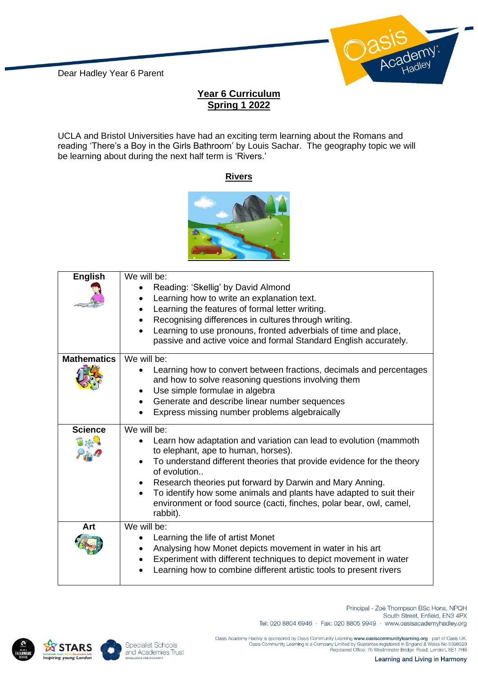

## **Year 6 Curriculum Spring 1 2022**

UCLA and Bristol Universities have had an exciting term learning about the Romans and reading 'There's a Boy in the Girls Bathroom' by Louis Sachar. The geography topic we will be learning about during the next half term is 'Rivers.'

## **Rivers**



| <b>English</b>     | We will be:<br>Reading: 'Skellig' by David Almond<br>Learning how to write an explanation text.<br>Learning the features of formal letter writing.<br>Recognising differences in cultures through writing.<br>Learning to use pronouns, fronted adverbials of time and place,<br>passive and active voice and formal Standard English accurately.                                                                                                  |
|--------------------|----------------------------------------------------------------------------------------------------------------------------------------------------------------------------------------------------------------------------------------------------------------------------------------------------------------------------------------------------------------------------------------------------------------------------------------------------|
| <b>Mathematics</b> | We will be:<br>Learning how to convert between fractions, decimals and percentages<br>and how to solve reasoning questions involving them<br>Use simple formulae in algebra<br>Generate and describe linear number sequences<br>$\bullet$<br>Express missing number problems algebraically<br>$\bullet$                                                                                                                                            |
| <b>Science</b>     | We will be:<br>Learn how adaptation and variation can lead to evolution (mammoth<br>to elephant, ape to human, horses).<br>To understand different theories that provide evidence for the theory<br>of evolution<br>Research theories put forward by Darwin and Mary Anning.<br>To identify how some animals and plants have adapted to suit their<br>$\bullet$<br>environment or food source (cacti, finches, polar bear, owl, camel,<br>rabbit). |
| Art                | We will be:<br>Learning the life of artist Monet<br>Analysing how Monet depicts movement in water in his art<br>Experiment with different techniques to depict movement in water<br>Learning how to combine different artistic tools to present rivers                                                                                                                                                                                             |





Principal - Zoë Thompson BSc Hons, NPQH South Street, Enfield, EN3 4PX Tel: 020 8804 6946 · Fax: 020 8805 9949 · www.oasisacademyhadley.org